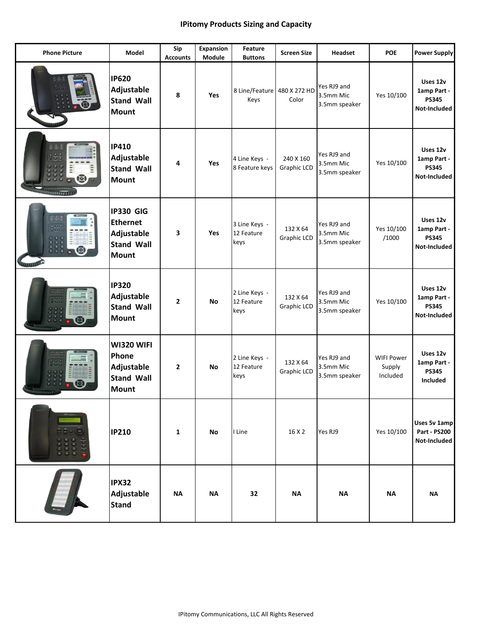## **IPitomy Products Sizing and Capacity**

| <b>Phone Picture</b>                                 | <b>Model</b>                                                                           | Sip<br><b>Accounts</b> | <b>Expansion</b><br>Module | Feature<br><b>Buttons</b>           | <b>Screen Size</b>       | <b>Headset</b>                            | <b>POE</b>                              | <b>Power Supply</b>                                     |
|------------------------------------------------------|----------------------------------------------------------------------------------------|------------------------|----------------------------|-------------------------------------|--------------------------|-------------------------------------------|-----------------------------------------|---------------------------------------------------------|
|                                                      | <b>IP620</b><br>Adjustable<br><b>Stand Wall</b><br><b>Mount</b>                        | 8                      | <b>Yes</b>                 | 8 Line/Feature<br>Keys              | 480 X 272 HD<br>Color    | Yes RJ9 and<br>3.5mm Mic<br>3.5mm speaker | Yes 10/100                              | Uses 12v<br>1amp Part -<br><b>PS345</b><br>Not-Included |
| $2 +$<br>$\frac{1}{2}$<br>$\boldsymbol{\varnothing}$ | <b>IP410</b><br>Adjustable<br><b>Stand Wall</b><br><b>Mount</b>                        | 4                      | <b>Yes</b>                 | 4 Line Keys -<br>8 Feature keys     | 240 X 160<br>Graphic LCD | Yes RJ9 and<br>3.5mm Mic<br>3.5mm speaker | Yes 10/100                              | Uses 12v<br>1amp Part -<br><b>PS345</b><br>Not-Included |
| id.<br>1000<br><b><i>UUTIO</i></b>                   | <b>IP330 GIG</b><br><b>Ethernet</b><br>Adjustable<br><b>Stand Wall</b><br><b>Mount</b> | 3                      | <b>Yes</b>                 | 3 Line Keys -<br>12 Feature<br>keys | 132 X 64<br>Graphic LCD  | Yes RJ9 and<br>3.5mm Mic<br>3.5mm speaker | Yes 10/100<br>/1000                     | Uses 12v<br>1amp Part -<br><b>PS345</b><br>Not-Included |
|                                                      | <b>IP320</b><br>Adjustable<br><b>Stand Wall</b><br><b>Mount</b>                        | $\mathbf{2}$           | No                         | 2 Line Keys -<br>12 Feature<br>keys | 132 X 64<br>Graphic LCD  | Yes RJ9 and<br>3.5mm Mic<br>3.5mm speaker | Yes 10/100                              | Uses 12v<br>1amp Part -<br><b>PS345</b><br>Not-Included |
|                                                      | WI320 WIFI<br>Phone<br>Adjustable<br><b>Stand Wall</b><br><b>Mount</b>                 | $\mathbf{2}$           | No                         | 2 Line Keys -<br>12 Feature<br>keys | 132 X 64<br>Graphic LCD  | Yes RJ9 and<br>3.5mm Mic<br>3.5mm speaker | <b>WIFI Power</b><br>Supply<br>Included | Uses 12v<br>1amp Part -<br><b>PS345</b><br>Included     |
|                                                      | <b>IP210</b>                                                                           | 1                      | No                         | I Line                              | 16 X 2                   | Yes RJ9                                   | Yes 10/100                              | Uses 5v 1amp<br><b>Part - PS200</b><br>Not-Included     |
|                                                      | <b>IPX32</b><br>Adjustable<br><b>Stand</b>                                             | <b>NA</b>              | <b>NA</b>                  | 32                                  | <b>NA</b>                | <b>NA</b>                                 | <b>NA</b>                               | <b>NA</b>                                               |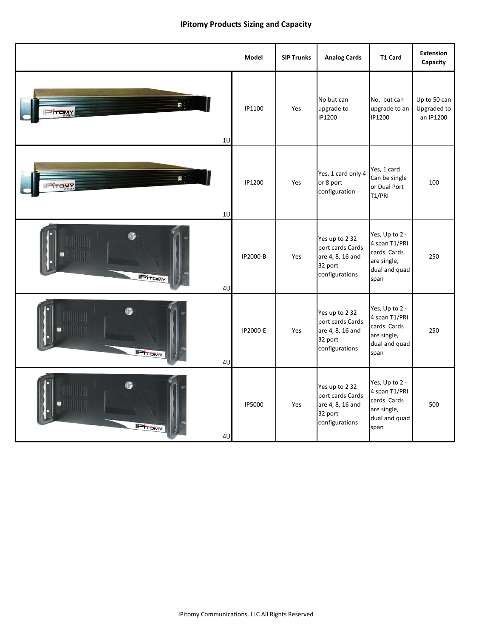## **IPitomy Products Sizing and Capacity**

|                         | <b>Model</b>  | <b>SIP Trunks</b> | <b>Analog Cards</b>                                                                 | <b>T1 Card</b>                                                                         | Extension<br>Capacity                    |
|-------------------------|---------------|-------------------|-------------------------------------------------------------------------------------|----------------------------------------------------------------------------------------|------------------------------------------|
| B.<br><b>TOMY</b><br>1U | IP1100        | Yes               | No but can<br>upgrade to<br>IP1200                                                  | No, but can<br>upgrade to an<br>IP1200                                                 | Up to 50 can<br>Upgraded to<br>an IP1200 |
| F.<br>TOMY<br>10        | IP1200        | Yes               | Yes, 1 card only 4<br>or 8 port<br>configuration                                    | Yes, 1 card<br>Can be single<br>or Dual Port<br>T1/PRI                                 | 100                                      |
| <b>IPITOMY</b><br>4U    | IP2000-B      | Yes               | Yes up to 2 32<br>port cards Cards<br>are 4, 8, 16 and<br>32 port<br>configurations | Yes, Up to 2 -<br>4 span T1/PRI<br>cards Cards<br>are single,<br>dual and quad<br>span | 250                                      |
| <b>IPITOMY</b><br>4U    | IP2000-E      | Yes               | Yes up to 2 32<br>port cards Cards<br>are 4, 8, 16 and<br>32 port<br>configurations | Yes, Up to 2 -<br>4 span T1/PRI<br>cards Cards<br>are single,<br>dual and quad<br>span | 250                                      |
| <b>IPITOMY</b><br>4U    | <b>IP5000</b> | Yes               | Yes up to 2 32<br>port cards Cards<br>are 4, 8, 16 and<br>32 port<br>configurations | Yes, Up to 2 -<br>4 span T1/PRI<br>cards Cards<br>are single,<br>dual and quad<br>span | 500                                      |